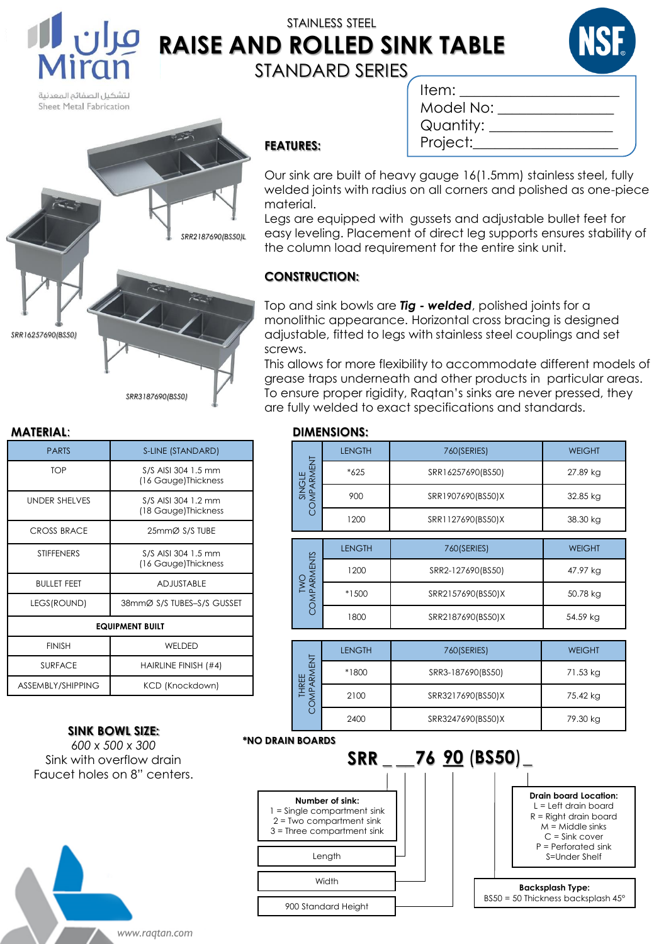

لتشكيل الصفائم المعدنية Sheet Metal Fabrication

# STAINLESS STEEL **RAISE AND ROLLED SINK TABLE** STANDARD SERIES





*SRR3187690(BS50)*

| <b>PARTS</b>           | S-LINE (STANDARD)                           |  |  |  |
|------------------------|---------------------------------------------|--|--|--|
| <b>TOP</b>             | S/S AISI 304 1.5 mm<br>(16 Gauge)Thickness  |  |  |  |
| <b>UNDER SHELVES</b>   | S/S AISI 304 1.2 mm<br>(18 Gauge) Thickness |  |  |  |
| <b>CROSS BRACE</b>     | 25mmØ S/S TUBE                              |  |  |  |
| <b>STIFFENERS</b>      | S/S AISI 304 1.5 mm<br>(16 Gauge) Thickness |  |  |  |
| <b>BULLET FEET</b>     | <b>ADJUSTABLE</b>                           |  |  |  |
| LEGS(ROUND)            | 38mmØ S/S TUBES-S/S GUSSET                  |  |  |  |
| <b>EQUIPMENT BUILT</b> |                                             |  |  |  |
| <b>FINISH</b>          | WELDED                                      |  |  |  |
| <b>SURFACE</b>         | HAIRLINE FINISH (#4)                        |  |  |  |
| ASSEMBLY/SHIPPING      | KCD (Knockdown)                             |  |  |  |

#### **SINK BOWL SIZE:**

6*00 x 500 x 300* Sink with overflow drain Faucet holes on 8" centers.



#### **FEATURES:**

| Item:     |  |
|-----------|--|
| Model No: |  |
| Quantity: |  |
| Project:  |  |
|           |  |

Our sink are built of heavy gauge 16(1.5mm) stainless steel, fully welded joints with radius on all corners and polished as one-piece material.

Legs are equipped with gussets and adjustable bullet feet for easy leveling. Placement of direct leg supports ensures stability of the column load requirement for the entire sink unit.

### **CONSTRUCTION:**

Top and sink bowls are *Tig - welded*, polished joints for a monolithic appearance. Horizontal cross bracing is designed adjustable, fitted to legs with stainless steel couplings and set screws.

This allows for more flexibility to accommodate different models of grease traps underneath and other products in particular areas. To ensure proper rigidity, Raqtan's sinks are never pressed, they are fully welded to exact specifications and standards.

|                      | <b>LENGTH</b> | 760(SERIES)       | <b>WEIGHT</b> |  |
|----------------------|---------------|-------------------|---------------|--|
|                      | $*625$        | SRR16257690(BS50) | 27.89 kg      |  |
| COMPARMENT<br>SINGLE | 900           | SRR1907690(BS50)X | 32.85 kg      |  |
|                      | 1200          | SRR1127690(BS50)X | 38.30 kg      |  |
|                      |               |                   |               |  |
|                      | <b>LENGTH</b> | 760(SERIES)       | <b>WEIGHT</b> |  |
|                      | 1200          | SRR2-127690(BS50) | 47.97 kg      |  |
| COMPARMENTS<br>Ş     | $*1500$       | SRR2157690(BS50)X | 50.78 kg      |  |
|                      | 1800          | SRR2187690(BS50)X | 54.59 kg      |  |

| 톱<br>矿<br>ш<br>ನ | <b>LENGTH</b> | 760(SERIES)       | <b>WEIGHT</b> |
|------------------|---------------|-------------------|---------------|
|                  | *1800         | SRR3-187690(BS50) | 71.53 kg      |
|                  | 2100          | SRR3217690(BS50)X | 75.42 kg      |
|                  | 2400          | SRR3247690(BS50)X | 79.30 kg      |

#### **\*NO DRAIN BOARDS**



**MATERIAL**: **DIMENSIONS:**